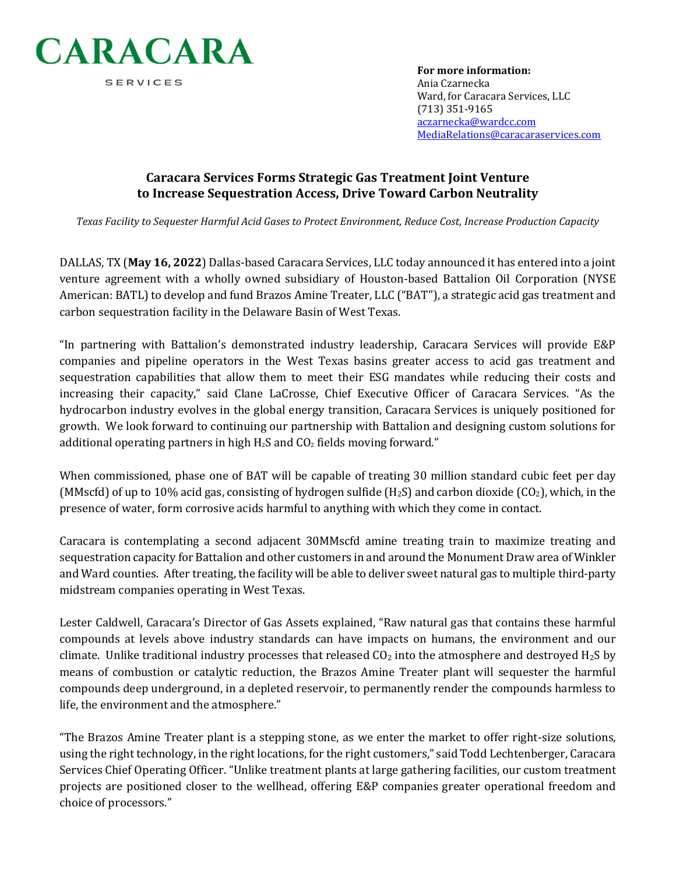

**For more information:** Ania Czarnecka Ward, for Caracara Services, LLC (713) 351-9165 [aczarnecka@wardcc.com](mailto:aczarnecka@wardcc.com) [MediaRelations@caracaraservices.com](mailto:MediaRelations@caracaraservices.com)

## **Caracara Services Forms Strategic Gas Treatment Joint Venture to Increase Sequestration Access, Drive Toward Carbon Neutrality**

*Texas Facility to Sequester Harmful Acid Gases to Protect Environment, Reduce Cost, Increase Production Capacity*

DALLAS, TX (**May 16, 2022**) Dallas-based Caracara Services, LLC today announced it has entered into a joint venture agreement with a wholly owned subsidiary of Houston-based Battalion Oil Corporation (NYSE American: BATL) to develop and fund Brazos Amine Treater, LLC ("BAT"), a strategic acid gas treatment and carbon sequestration facility in the Delaware Basin of West Texas.

"In partnering with Battalion's demonstrated industry leadership, Caracara Services will provide E&P companies and pipeline operators in the West Texas basins greater access to acid gas treatment and sequestration capabilities that allow them to meet their ESG mandates while reducing their costs and increasing their capacity," said Clane LaCrosse, Chief Executive Officer of Caracara Services. "As the hydrocarbon industry evolves in the global energy transition, Caracara Services is uniquely positioned for growth. We look forward to continuing our partnership with Battalion and designing custom solutions for additional operating partners in high  $H_2S$  and  $CO_2$  fields moving forward."

When commissioned, phase one of BAT will be capable of treating 30 million standard cubic feet per day (MMscfd) of up to 10% acid gas, consisting of hydrogen sulfide (H<sub>2</sub>S) and carbon dioxide (CO<sub>2</sub>), which, in the presence of water, form corrosive acids harmful to anything with which they come in contact.

Caracara is contemplating a second adjacent 30MMscfd amine treating train to maximize treating and sequestration capacity for Battalion and other customers in and around the Monument Draw area of Winkler and Ward counties. After treating, the facility will be able to deliver sweet natural gas to multiple third-party midstream companies operating in West Texas.

Lester Caldwell, Caracara's Director of Gas Assets explained, "Raw natural gas that contains these harmful compounds at levels above industry standards can have impacts on humans, the environment and our climate. Unlike traditional industry processes that released  $CO<sub>2</sub>$  into the atmosphere and destroyed H<sub>2</sub>S by means of combustion or catalytic reduction, the Brazos Amine Treater plant will sequester the harmful compounds deep underground, in a depleted reservoir, to permanently render the compounds harmless to life, the environment and the atmosphere."

"The Brazos Amine Treater plant is a stepping stone, as we enter the market to offer right-size solutions, using the right technology, in the right locations, for the right customers," said Todd Lechtenberger, Caracara Services Chief Operating Officer. "Unlike treatment plants at large gathering facilities, our custom treatment projects are positioned closer to the wellhead, offering E&P companies greater operational freedom and choice of processors."